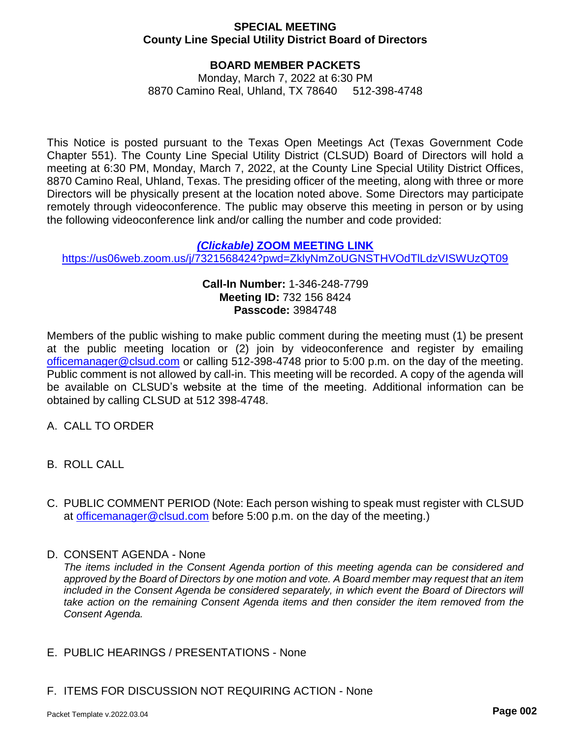### **SPECIAL MEETING County Line Special Utility District Board of Directors**

# **BOARD MEMBER PACKETS**

Monday, March 7, 2022 at 6:30 PM 8870 Camino Real, Uhland, TX 78640 512-398-4748

This Notice is posted pursuant to the Texas Open Meetings Act (Texas Government Code Chapter 551). The County Line Special Utility District (CLSUD) Board of Directors will hold a meeting at 6:30 PM, Monday, March 7, 2022, at the County Line Special Utility District Offices, 8870 Camino Real, Uhland, Texas. The presiding officer of the meeting, along with three or more Directors will be physically present at the location noted above. Some Directors may participate remotely through videoconference. The public may observe this meeting in person or by using the following videoconference link and/or calling the number and code provided:

#### *(Clickable)* **[ZOOM MEETING LINK](https://us06web.zoom.us/j/7321568424?pwd=ZklyNmZoUGNSTHVOdTlLdzVISWUzQT09)**

https://us06web.zoom.us/j/7321568424?pwd=ZklyNmZoUGNSTHVOdTILdzVISWUzQT09

### **Call-In Number:** 1-346-248-7799 **Meeting ID:** 732 156 8424 **Passcode:** 3984748

Members of the public wishing to make public comment during the meeting must (1) be present at the public meeting location or (2) join by videoconference and register by emailing officemanager[@clsud.com](mailto:gmoore@alliancewater.org) or calling 512-398-4748 prior to 5:00 p.m. on the day of the meeting. Public comment is not allowed by call-in. This meeting will be recorded. A copy of the agenda will be available on CLSUD's website at the time of the meeting. Additional information can be obtained by calling CLSUD at 512 398-4748.

- A. CALL TO ORDER
- B. ROLL CALL
- C. PUBLIC COMMENT PERIOD (Note: Each person wishing to speak must register with CLSUD at officemanager[@clsud.com](mailto:gmoore@alliancewater.org) before 5:00 p.m. on the day of the meeting.)
- D. CONSENT AGENDA None

*The items included in the Consent Agenda portion of this meeting agenda can be considered and approved by the Board of Directors by one motion and vote. A Board member may request that an item included in the Consent Agenda be considered separately, in which event the Board of Directors will take action on the remaining Consent Agenda items and then consider the item removed from the Consent Agenda.*

- E. PUBLIC HEARINGS / PRESENTATIONS None
- F. ITEMS FOR DISCUSSION NOT REQUIRING ACTION None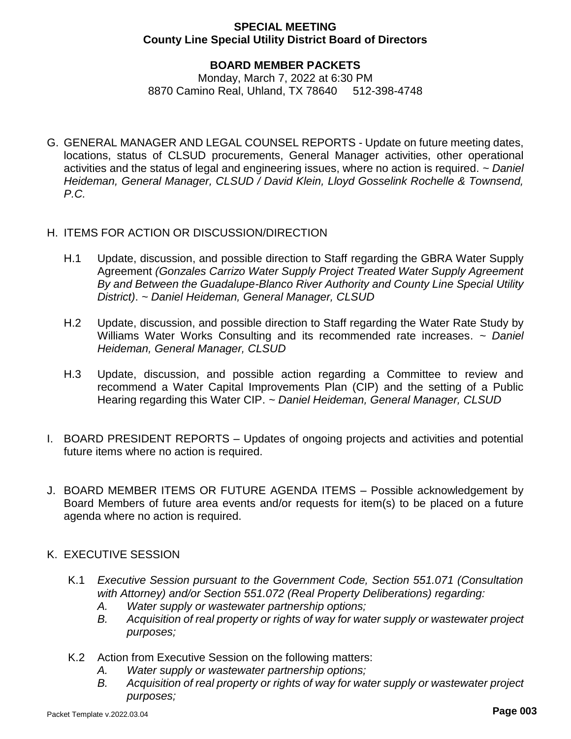### **SPECIAL MEETING County Line Special Utility District Board of Directors**

# **BOARD MEMBER PACKETS**

Monday, March 7, 2022 at 6:30 PM 8870 Camino Real, Uhland, TX 78640 512-398-4748

- G. GENERAL MANAGER AND LEGAL COUNSEL REPORTS Update on future meeting dates, locations, status of CLSUD procurements, General Manager activities, other operational activities and the status of legal and engineering issues, where no action is required. *~ Daniel Heideman, General Manager, CLSUD / David Klein, Lloyd Gosselink Rochelle & Townsend, P.C.*
- H. ITEMS FOR ACTION OR DISCUSSION/DIRECTION
	- H.1 Update, discussion, and possible direction to Staff regarding the GBRA Water Supply Agreement *(Gonzales Carrizo Water Supply Project Treated Water Supply Agreement By and Between the Guadalupe-Blanco River Authority and County Line Special Utility District)*. *~ Daniel Heideman, General Manager, CLSUD*
	- H.2 Update, discussion, and possible direction to Staff regarding the Water Rate Study by Williams Water Works Consulting and its recommended rate increases. *~ Daniel Heideman, General Manager, CLSUD*
	- H.3 Update, discussion, and possible action regarding a Committee to review and recommend a Water Capital Improvements Plan (CIP) and the setting of a Public Hearing regarding this Water CIP. *~ Daniel Heideman, General Manager, CLSUD*
- I. BOARD PRESIDENT REPORTS Updates of ongoing projects and activities and potential future items where no action is required.
- J. BOARD MEMBER ITEMS OR FUTURE AGENDA ITEMS Possible acknowledgement by Board Members of future area events and/or requests for item(s) to be placed on a future agenda where no action is required.
- K. EXECUTIVE SESSION
	- K.1 *Executive Session pursuant to the Government Code, Section 551.071 (Consultation with Attorney) and/or Section 551.072 (Real Property Deliberations) regarding:* 
		- *A. Water supply or wastewater partnership options;*
		- *B. Acquisition of real property or rights of way for water supply or wastewater project purposes;*
	- K.2 Action from Executive Session on the following matters:
		- *A. Water supply or wastewater partnership options;*
		- *B. Acquisition of real property or rights of way for water supply or wastewater project purposes;*